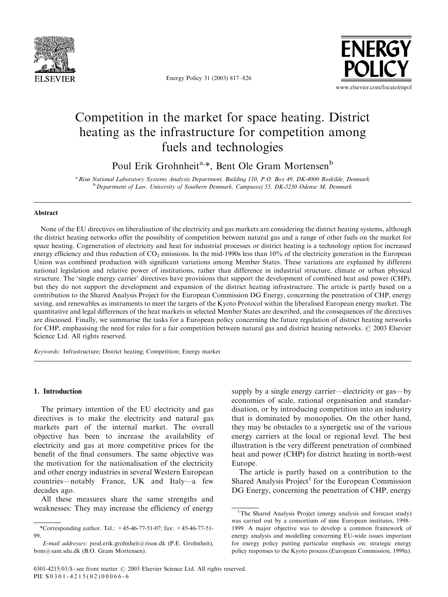

Energy Policy 31 (2003) 817–826



# Competition in the market for space heating. District heating as the infrastructure for competition among fuels and technologies

Poul Erik Grohnheit<sup>a,\*</sup>, Bent Ole Gram Mortensen<sup>b</sup>

<sup>a</sup> Risø National Laboratory Systems Analysis Department, Building 110, P.O. Box 49, DK-4000 Roskilde, Denmark <sup>b</sup> Department of Law, University of Southern Denmark, Campusvej 55, DK-5230 Odense M, Denmark

#### Abstract

None of the EU directives on liberalisation of the electricity and gas markets are considering the district heating systems, although the district heating networks offer the possibility of competition between natural gas and a range of other fuels on the market for space heating. Cogeneration of electricity and heat for industrial processes or district heating is a technology option for increased energy efficiency and thus reduction of  $CO<sub>2</sub>$  emissions. In the mid-1990s less than 10% of the electricity generation in the European Union was combined production with significant variations among Member States. These variations are explained by different national legislation and relative power of institutions, rather than difference in industrial structure, climate or urban physical structure. The 'single energy carrier' directives have provisions that support the development of combined heat and power (CHP), but they do not support the development and expansion of the district heating infrastructure. The article is partly based on a contribution to the Shared Analysis Project for the European Commission DG Energy, concerning the penetration of CHP, energy saving, and renewables as instruments to meet the targets of the Kyoto Protocol within the liberalised European energy market. The quantitative and legal differences of the heat markets in selected Member States are described, and the consequences of the directives are discussed. Finally, we summarise the tasks for a European policy concerning the future regulation of district heating networks for CHP, emphasising the need for rules for a fair competition between natural gas and district heating networks.  $\odot$  2003 Elsevier Science Ltd. All rights reserved.

Keywords: Infrastructure; District heating; Competition; Energy market

#### 1. Introduction

The primary intention of the EU electricity and gas directives is to make the electricity and natural gas markets part of the internal market. The overall objective has been to increase the availability of electricity and gas at more competitive prices for the benefit of the final consumers. The same objective was the motivation for the nationalisation of the electricity and other energy industries in several Western European countries—notably France, UK and Italy—a few decades ago.

All these measures share the same strengths and weaknesses: They may increase the efficiency of energy supply by a single energy carrier—electricity or gas—by economies of scale, rational organisation and standardisation, or by introducing competition into an industry that is dominated by monopolies. On the other hand, they may be obstacles to a synergetic use of the various energy carriers at the local or regional level. The best illustration is the very different penetration of combined heat and power (CHP) for district heating in north-west Europe.

The article is partly based on a contribution to the Shared Analysis Project<sup>1</sup> for the European Commission DG Energy, concerning the penetration of CHP, energy

<sup>\*</sup>Corresponding author. Tel.: +45-46-77-51-07; fax: +45-46-77-51- 99.

E-mail addresses: poul.erik.grohnheit@risoe.dk (P.E. Grohnheit), bom@sam.sdu.dk (B.O. Gram Mortensen).

<sup>&</sup>lt;sup>1</sup>The Shared Analysis Project (energy analysis and forecast study) was carried out by a consortium of nine European institutes, 1998– 1999. A major objective was to develop a common framework of energy analysis and modelling concerning EU-wide issues important for energy policy putting particular emphasis on: strategic energy policy responses to the Kyoto process (European Commission, 1999a).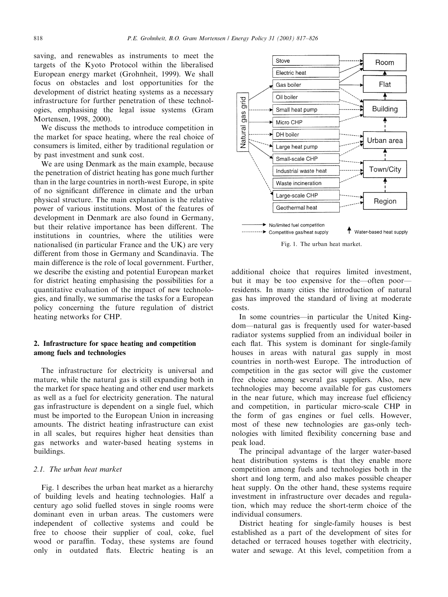saving, and renewables as instruments to meet the targets of the Kyoto Protocol within the liberalised European energy market (Grohnheit, 1999). We shall focus on obstacles and lost opportunities for the development of district heating systems as a necessary infrastructure for further penetration of these technologies, emphasising the legal issue systems (Gram Mortensen, 1998, 2000).

We discuss the methods to introduce competition in the market for space heating, where the real choice of consumers is limited, either by traditional regulation or by past investment and sunk cost.

We are using Denmark as the main example, because the penetration of district heating has gone much further than in the large countries in north-west Europe, in spite of no significant difference in climate and the urban physical structure. The main explanation is the relative power of various institutions. Most of the features of development in Denmark are also found in Germany, but their relative importance has been different. The institutions in countries, where the utilities were nationalised (in particular France and the UK) are very different from those in Germany and Scandinavia. The main difference is the role of local government. Further, we describe the existing and potential European market for district heating emphasising the possibilities for a quantitative evaluation of the impact of new technologies, and finally, we summarise the tasks for a European policy concerning the future regulation of district heating networks for CHP.

## 2. Infrastructure for space heating and competition among fuels and technologies

The infrastructure for electricity is universal and mature, while the natural gas is still expanding both in the market for space heating and other end user markets as well as a fuel for electricity generation. The natural gas infrastructure is dependent on a single fuel, which must be imported to the European Union in increasing amounts. The district heating infrastructure can exist in all scales, but requires higher heat densities than gas networks and water-based heating systems in buildings.

### 2.1. The urban heat market

Fig. 1 describes the urban heat market as a hierarchy of building levels and heating technologies. Half a century ago solid fuelled stoves in single rooms were dominant even in urban areas. The customers were independent of collective systems and could be free to choose their supplier of coal, coke, fuel wood or paraffin. Today, these systems are found only in outdated flats. Electric heating is an



Fig. 1. The urban heat market.

additional choice that requires limited investment, but it may be too expensive for the—often poor residents. In many cities the introduction of natural gas has improved the standard of living at moderate costs.

In some countries—in particular the United Kingdom—natural gas is frequently used for water-based radiator systems supplied from an individual boiler in each flat. This system is dominant for single-family houses in areas with natural gas supply in most countries in north-west Europe. The introduction of competition in the gas sector will give the customer free choice among several gas suppliers. Also, new technologies may become available for gas customers in the near future, which may increase fuel efficiency and competition, in particular micro-scale CHP in the form of gas engines or fuel cells. However, most of these new technologies are gas-only technologies with limited flexibility concerning base and peak load.

The principal advantage of the larger water-based heat distribution systems is that they enable more competition among fuels and technologies both in the short and long term, and also makes possible cheaper heat supply. On the other hand, these systems require investment in infrastructure over decades and regulation, which may reduce the short-term choice of the individual consumers.

District heating for single-family houses is best established as a part of the development of sites for detached or terraced houses together with electricity, water and sewage. At this level, competition from a